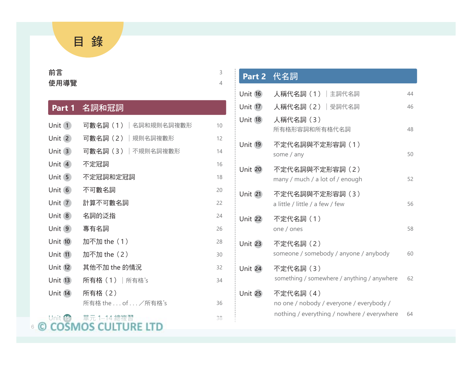目 錄

### 前言 <sup>3</sup> 使用導覽 <sup>4</sup>

6

### **Part 1** 名詞和冠詞

| Unit 1         | 可數名詞 (1) 名詞和規則名詞複數形  | 10 |
|----------------|----------------------|----|
| Unit $(2)$     | 可數名詞 (2)  規則名詞複數形    | 12 |
| Unit 3         | 可數名詞 (3)   不規則名詞複數形  | 14 |
| Unit $(4)$     | 不定冠詞                 | 16 |
| Unit $5$       | 不定冠詞和定冠詞             | 18 |
| Unit $(6)$     | 不可數名詞                | 20 |
| Unit $(7)$     | 計算不可數名詞              | 22 |
| Unit 8         | 名詞的泛指                | 24 |
| Unit $(9)$     | 專有名詞                 | 26 |
| <b>Unit 10</b> | 加不加 the (1)          | 28 |
| Unit (11)      | 加不加 the (2)          | 30 |
| Unit (12)      | 其他不加 the 的情況         | 32 |
| <b>Unit 13</b> | 所有格 (1)   所有格's      | 34 |
| Unit 14        | 所有格(2)               |    |
|                | 所有格 the  of  / 所有格's | 36 |
| Unit 15        | ■ 單元 1–14 總複習        | 38 |

## **Part 2** 代名詞 Unit 16 人稱代名詞 (1) 主詞代名詞 44 Unit 17 人稱代名詞 (2) 受詞代名詞 46 Unit **<sup>18</sup>** 人稱代名詞(3) 所有格形容詞和所有格代名詞詞 48 Unit **<sup>19</sup>** 不定代名詞與不定形容詞(1) some / any 50 Unit **<sup>20</sup>** 不定代名詞與不定形容詞(2) many / much / a lot of / enough 52 Unit **<sup>21</sup>** 不定代名詞與不定形容詞(3) a little / little / a few / few 56 Unit **<sup>22</sup>** 不定代名詞(1) one / ones 58 Unit **<sup>23</sup>** 不定代名詞(2) someone / somebody / anyone / anybody 60 Unit **<sup>24</sup>** 不定代名詞(3) something / somewhere / anything / anywhere 62 Unit **<sup>25</sup>** 不定代名詞(4) no one / nobody / everyone / everybody / t 15 單元 1–14 總複習 38 nothing / everything / nowhere / everywhere 64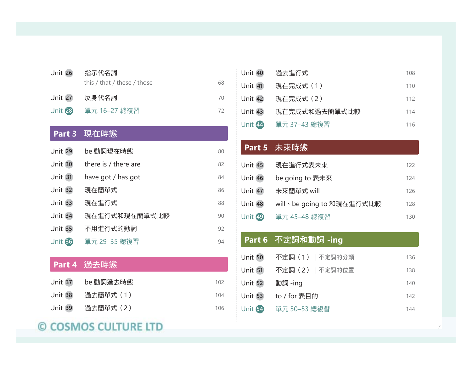| <b>Unit 26</b> | 指示代名詞<br>this / that / these / those | 68 |
|----------------|--------------------------------------|----|
| <b>Unit 27</b> | 反身代名詞                                | 70 |
| Unit 28        | 單元 16-27 總複習                         | 72 |
|                | <b>Part 3</b> 現在時態                   |    |
| <b>Unit 29</b> | be 動詞現在時態                            | 80 |
| Unit 30        | there is / there are                 | 82 |
| <b>Unit 31</b> | have got / has got                   | 84 |
| <b>Unit 32</b> | 現在簡單式                                | 86 |
| Unit 33        | 現在進行式                                | 88 |
| Unit 34        | 現在進行式和現在簡單式比較                        | 90 |
| <b>Unit 35</b> | 不用進行式的動詞                             | 92 |
| <b>Unit 36</b> | 單元 29-35 總複習                         | 94 |
|                |                                      |    |

## **Part 4** 過去時態

| Unit 37 be 動詞過去時態 | 102 |
|-------------------|-----|
|                   | 104 |
|                   | 106 |

# © COSMOS CULTURE LTD

| Unit 40        | 過去進行式         | 108 |
|----------------|---------------|-----|
| Unit 41        | 現在完成式 (1)     | 110 |
| Unit 42        | 現在完成式 (2)     | 112 |
| <b>Unit 43</b> | 現在完成式和過去簡單式比較 | 114 |
| Unit 44        | 單元 37–43 總複習  | 116 |

## **Part 5 未來時態**

| <b>Unit 45</b> | 現在進行式表未來                  | 122 |
|----------------|---------------------------|-----|
| Unit 46        | be going to 表未來           | 124 |
| Unit 47        | 未來簡單式 will                | 126 |
| Unit 48        | will、be going to 和現在進行式比較 | 128 |
| Unit 49        | 單元 45-48 總複習              | 130 |

## **Part 6** 不定詞和動詞 **-ing**

| Unit 50        | 不定詞(1) 不定詞的分類   | 136 |
|----------------|-----------------|-----|
| <b>Unit 51</b> | 不定詞 (2)  不定詞的位置 | 138 |
| Unit 52        | 動詞 -ing         | 140 |
| <b>Unit 53</b> | to / for 表目的    | 142 |
| Unit <b>54</b> | 單元 50–53 總複習    | 144 |
|                |                 |     |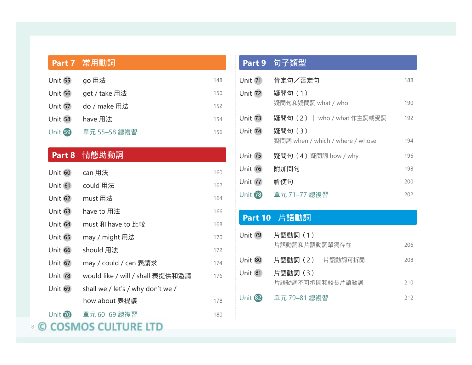|                | <b>Part 7</b> 常用動詞                |     |
|----------------|-----------------------------------|-----|
| <b>Unit 55</b> | go 用法                             | 148 |
| <b>Unit 56</b> | get / take 用法                     | 150 |
| Unit 57        | do / make 用法                      | 152 |
| <b>Unit 58</b> | have 用法                           | 154 |
| <b>Unit 59</b> | 單元 55-58 總複習                      | 156 |
|                |                                   |     |
|                | Part 8 情態助動詞                      |     |
| Unit 60        | can 用法                            | 160 |
| Unit 61        | could 用法                          | 162 |
| Unit 62        | must 用法                           | 164 |
| Unit 63        | have to 用法                        | 166 |
| Unit 64        | must 和 have to 比較                 | 168 |
| <b>Unit 65</b> | may / might 用法                    | 170 |
| <b>Unit 66</b> | should 用法                         | 172 |
| <b>Unit 67</b> | may / could / can 表請求             | 174 |
| Unit 78        | would like / will / shall 表提供和邀請  | 176 |
| Unit 69        | shall we / let's / why don't we / |     |
|                | how about 表提議                     | 178 |
| Unit 70        | 單元 60-69 總複習                      | 180 |

## 8

## **Part 9** 句子類型

| <b>Unit 71</b> | 肯定句/否定句                                    | 188 |
|----------------|--------------------------------------------|-----|
| Unit 72        | 疑問句 (1)<br>疑問句和疑問詞 what / who              | 190 |
| Unit 73        | <b>疑問句 (2)   who / what 作主詞或受詞</b>         | 192 |
| Unit 74        | 疑問句(3)<br>疑問詞 when / which / where / whose | 194 |
| <b>Unit 75</b> | 疑問句 (4) 疑問詞 how / why                      | 196 |
| <b>Unit 76</b> | 附加問句                                       | 198 |
| <b>Unit 77</b> | 祈使句                                        | 200 |
| <b>Unit 78</b> | 單元 71-77 總複習                               | 202 |
|                |                                            |     |

## **Part 10** 片語動詞

| <b>Unit 79</b> | 片語動詞 (1)        |     |
|----------------|-----------------|-----|
|                | 片語動詞和片語動詞單獨存在   | 206 |
| <b>Unit 80</b> | 片語動詞(2) 片語動詞可拆開 | 208 |
| <b>Unit 81</b> | 片語動詞(3)         |     |
|                | 片語動詞不可拆開和較長片語動詞 | 210 |
| <b>Unit 82</b> | 單元 79-81 總複習    | 212 |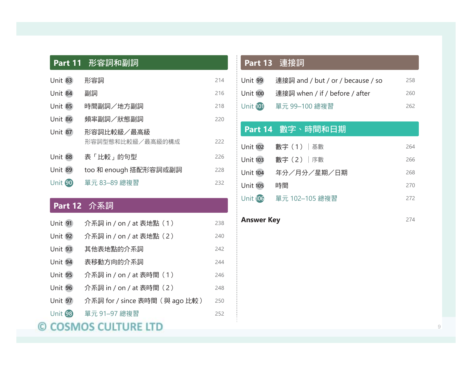|                | Part 11 形容詞和副詞                 |     |
|----------------|--------------------------------|-----|
| <b>Unit 83</b> | 形容詞                            | 214 |
| Unit 84        | 副詞                             | 216 |
| <b>Unit 85</b> | 時間副詞/地方副詞                      | 218 |
| <b>Unit 86</b> | 頻率副詞/狀態副詞                      | 220 |
| <b>Unit 87</b> | 形容詞比較級/最高級<br>形容詞型態和比較級/最高級的構成 | 222 |
| Unit 88        | 表「比較」的句型                       | 226 |
| Unit 89        | too 和 enough 搭配形容詞或副詞          | 228 |
| Unit 90        | 單元 83-89 總複習                   | 232 |
|                | <b>Part 12 介系詞</b>             |     |
| Unit 91        | 介系詞 in / on / at 表地點 (1)       | 238 |
| <b>Unit 92</b> | 介系詞 in / on / at 表地點 (2)       | 240 |
| <b>Unit 93</b> | 其他表地點的介系詞                      | 242 |
| Unit 94        | 表移動方向的介系詞                      | 244 |
| Unit 95        | 介系詞 in / on / at 表時間 (1)       | 246 |
| Unit 96        | 介系詞 in / on / at 表時間 (2)       | 248 |
| Unit 97        | 介系詞 for / since 表時間 (與 ago 比較) | 250 |
| Unit 98        | 單元 91-97 總複習                   | 252 |
|                | <b>DS CULTURE</b>              |     |

# **Part 13** 連接詞

| Unit 99          | 連接詞 and / but / or / because / so | 258 |
|------------------|-----------------------------------|-----|
| <b>Unit 100</b>  | 連接詞 when / if / before / after    | 260 |
| <b>Unit (01)</b> | 單元 99-100 總複習                     | 262 |
|                  |                                   |     |
|                  | Part 14 數字、時間和日期                  |     |
| <b>Unit 102</b>  | 數字(1) 基數                          | 264 |
| <b>Unit 103</b>  | 數字 (2)   序數                       | 266 |
| <b>Unit 104</b>  | 年分/月分/星期/日期                       | 268 |
| <b>Unit 105</b>  | 時間                                | 270 |
| <b>Unit 106</b>  | 單元 102-105 總複習                    | 272 |
|                  |                                   |     |

| <b>Answer Key</b> | 274 |
|-------------------|-----|
|-------------------|-----|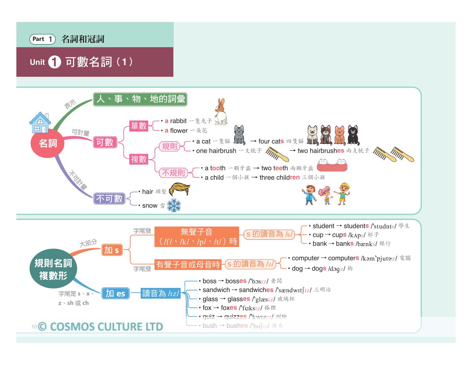

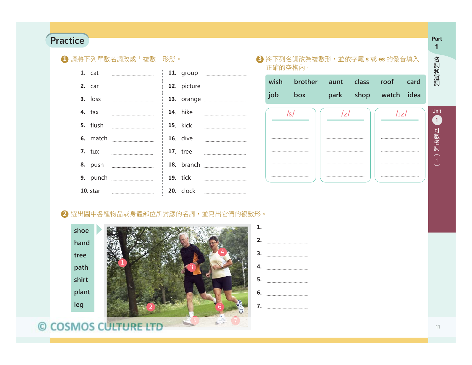#### **PracticePart Part Part Part**

### **1** 請將下列單數名詞改成「複數」形態。

|  | 1. cat    |                                              |                 | 11. group <b>compared</b>                       |
|--|-----------|----------------------------------------------|-----------------|-------------------------------------------------|
|  | 2. car    |                                              |                 |                                                 |
|  | $3.$ loss |                                              |                 |                                                 |
|  | $4.$ tax  |                                              | <b>14.</b> hike |                                                 |
|  |           |                                              |                 |                                                 |
|  |           |                                              | <b>16.</b> dive |                                                 |
|  |           | <b>7.</b> tux <u>_______________________</u> | <b>17.</b> tree |                                                 |
|  |           |                                              |                 |                                                 |
|  |           |                                              |                 | <b>19.</b> tick <u>________________________</u> |
|  |           |                                              |                 |                                                 |

### $\overline{\textbf{3}}$  將下列名詞改為複數形,並依字尾 **s** 或 es 的發音填入 正確的空格內。

|     | wish brother aunt class roof card |  |                      |  |
|-----|-----------------------------------|--|----------------------|--|
| job | box                               |  | park shop watch idea |  |



### 2 選出圖中各種物品或身體部位所對應的名詞,並寫出它們的複數形。

**shoehand treepath shirtplant leg**



| 1. |                          |
|----|--------------------------|
|    | 2. $\qquad \qquad$       |
|    | $\overline{\mathbf{3.}}$ |
| 4. |                          |
| 5. |                          |
|    |                          |
|    | 7.                       |

#### 11

**1**

名詞和冠詞名詞和冠詞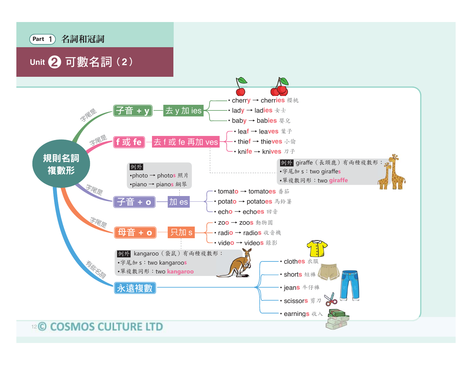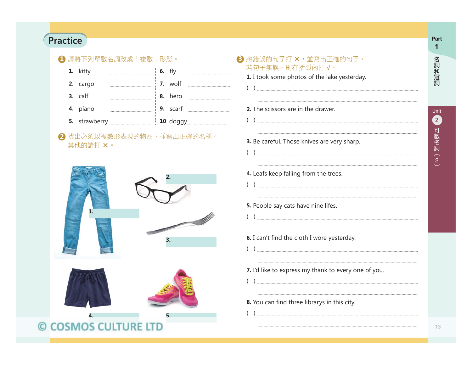#### **Practice** <u>Part</u> **Part**

### **1** 請將下列單數名詞改成「複數」形態。 **3**

| 1. kitty |  | <b>6.</b> fly         |  |
|----------|--|-----------------------|--|
| 2. cargo |  | $\frac{1}{2}$ 7. wolf |  |
| 3. calf  |  | 8. hero               |  |
| 4. piano |  | $\vert$ 9. scarf      |  |
|          |  |                       |  |

### 2 找出必須以複數形表現的物品,並寫出正確的名稱。 其他的請打 ×。



# 8 將錯誤的句子打 ×,並寫出正確的句子。 若句子無誤,則在括弧內打 **¦**。 **1.** I took some photos of the lake yesterday. ( ) **2.** The scissors are in the drawer  $\left(\begin{array}{c} \ -\end{array}\right)$  , procedure construction construction construction construction construction construction construction construction of **3.** Be careful. Those knives are very sharp. ( ) **4.** Leafs keep falling from the trees. ( ) **5.** People say cats have nine lifes. ( ) **6.** I can't find the cloth I wore yesterday. ( ) **7.** I'd like to express my thank to every one of you. ( ) **8.** You can find three librarys in this city. ( )

**1**名詞和冠詞 名詞和冠詞

13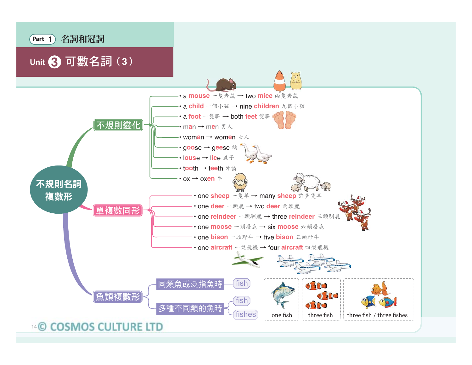